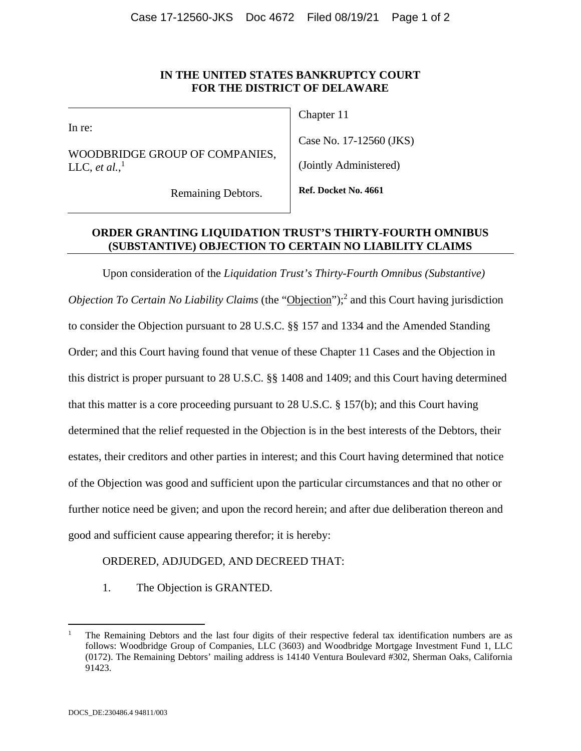## **IN THE UNITED STATES BANKRUPTCY COURT FOR THE DISTRICT OF DELAWARE**

In re:

WOODBRIDGE GROUP OF COMPANIES, LLC, *et al.*,<sup>1</sup>

Remaining Debtors.

Chapter 11

Case No. 17-12560 (JKS)

(Jointly Administered)

**Ref. Docket No. 4661** 

## **ORDER GRANTING LIQUIDATION TRUST'S THIRTY-FOURTH OMNIBUS (SUBSTANTIVE) OBJECTION TO CERTAIN NO LIABILITY CLAIMS**

Upon consideration of the *Liquidation Trust's Thirty-Fourth Omnibus (Substantive)*  Objection To Certain No Liability Claims (the "Objection");<sup>2</sup> and this Court having jurisdiction to consider the Objection pursuant to 28 U.S.C. §§ 157 and 1334 and the Amended Standing Order; and this Court having found that venue of these Chapter 11 Cases and the Objection in this district is proper pursuant to 28 U.S.C. §§ 1408 and 1409; and this Court having determined that this matter is a core proceeding pursuant to 28 U.S.C. § 157(b); and this Court having determined that the relief requested in the Objection is in the best interests of the Debtors, their estates, their creditors and other parties in interest; and this Court having determined that notice of the Objection was good and sufficient upon the particular circumstances and that no other or further notice need be given; and upon the record herein; and after due deliberation thereon and good and sufficient cause appearing therefor; it is hereby:

# ORDERED, ADJUDGED, AND DECREED THAT:

1. The Objection is GRANTED.

1

<sup>1</sup> The Remaining Debtors and the last four digits of their respective federal tax identification numbers are as follows: Woodbridge Group of Companies, LLC (3603) and Woodbridge Mortgage Investment Fund 1, LLC (0172). The Remaining Debtors' mailing address is 14140 Ventura Boulevard #302, Sherman Oaks, California 91423.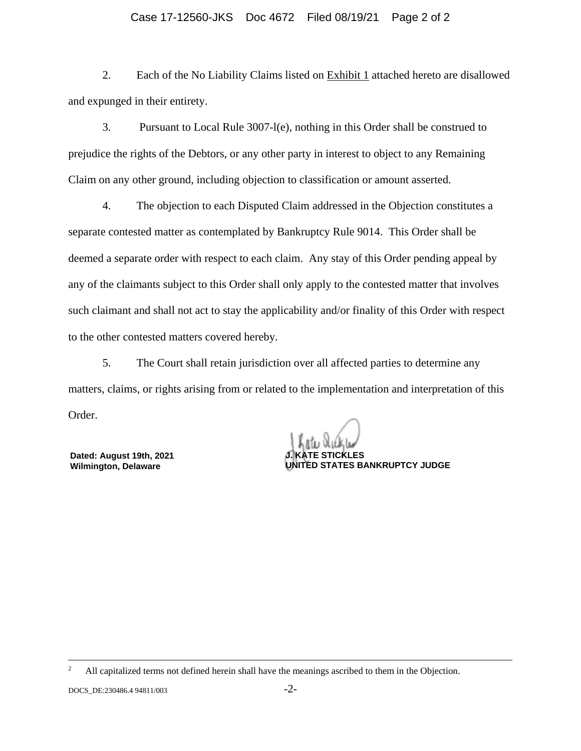#### Case 17-12560-JKS Doc 4672 Filed 08/19/21 Page 2 of 2

2. Each of the No Liability Claims listed on Exhibit 1 attached hereto are disallowed and expunged in their entirety.

3. Pursuant to Local Rule 3007-l(e), nothing in this Order shall be construed to prejudice the rights of the Debtors, or any other party in interest to object to any Remaining Claim on any other ground, including objection to classification or amount asserted.

4. The objection to each Disputed Claim addressed in the Objection constitutes a separate contested matter as contemplated by Bankruptcy Rule 9014. This Order shall be deemed a separate order with respect to each claim. Any stay of this Order pending appeal by any of the claimants subject to this Order shall only apply to the contested matter that involves such claimant and shall not act to stay the applicability and/or finality of this Order with respect to the other contested matters covered hereby.

5. The Court shall retain jurisdiction over all affected parties to determine any matters, claims, or rights arising from or related to the implementation and interpretation of this Order.

**Dated: August 19th, 2021 Wilmington, Delaware**

**E. STICKLES UNITED STATES BANKRUPTCY JUDGE**

 $\frac{1}{2}$ <sup>2</sup> All capitalized terms not defined herein shall have the meanings ascribed to them in the Objection.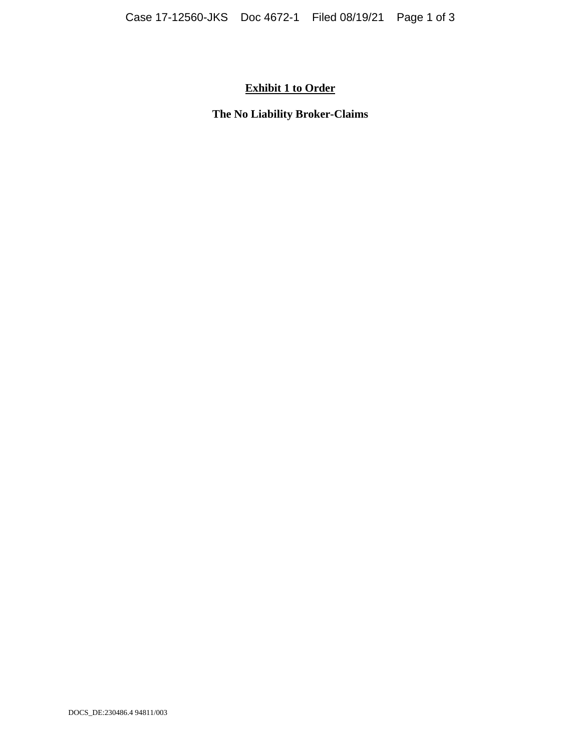# **Exhibit 1 to Order**

**The No Liability Broker-Claims**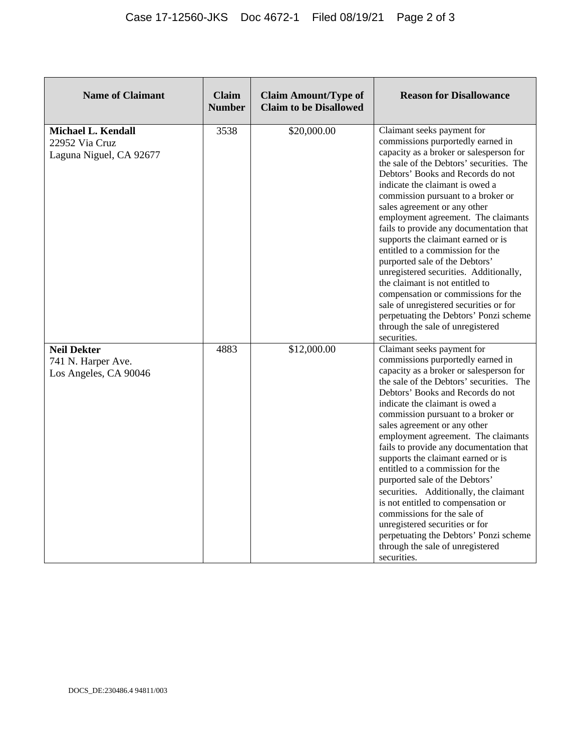| <b>Name of Claimant</b>                                                | <b>Claim</b><br><b>Number</b> | <b>Claim Amount/Type of</b><br><b>Claim to be Disallowed</b> | <b>Reason for Disallowance</b>                                                                                                                                                                                                                                                                                                                                                                                                                                                                                                                                                                                                                                                                                                                                |
|------------------------------------------------------------------------|-------------------------------|--------------------------------------------------------------|---------------------------------------------------------------------------------------------------------------------------------------------------------------------------------------------------------------------------------------------------------------------------------------------------------------------------------------------------------------------------------------------------------------------------------------------------------------------------------------------------------------------------------------------------------------------------------------------------------------------------------------------------------------------------------------------------------------------------------------------------------------|
| <b>Michael L. Kendall</b><br>22952 Via Cruz<br>Laguna Niguel, CA 92677 | 3538                          | \$20,000.00                                                  | Claimant seeks payment for<br>commissions purportedly earned in<br>capacity as a broker or salesperson for<br>the sale of the Debtors' securities. The<br>Debtors' Books and Records do not<br>indicate the claimant is owed a<br>commission pursuant to a broker or<br>sales agreement or any other<br>employment agreement. The claimants<br>fails to provide any documentation that<br>supports the claimant earned or is<br>entitled to a commission for the<br>purported sale of the Debtors'<br>unregistered securities. Additionally,<br>the claimant is not entitled to<br>compensation or commissions for the<br>sale of unregistered securities or for<br>perpetuating the Debtors' Ponzi scheme<br>through the sale of unregistered<br>securities. |
| <b>Neil Dekter</b><br>741 N. Harper Ave.<br>Los Angeles, CA 90046      | 4883                          | \$12,000.00                                                  | Claimant seeks payment for<br>commissions purportedly earned in<br>capacity as a broker or salesperson for<br>the sale of the Debtors' securities. The<br>Debtors' Books and Records do not<br>indicate the claimant is owed a<br>commission pursuant to a broker or<br>sales agreement or any other<br>employment agreement. The claimants<br>fails to provide any documentation that<br>supports the claimant earned or is<br>entitled to a commission for the<br>purported sale of the Debtors'<br>securities. Additionally, the claimant<br>is not entitled to compensation or<br>commissions for the sale of<br>unregistered securities or for<br>perpetuating the Debtors' Ponzi scheme<br>through the sale of unregistered<br>securities.              |